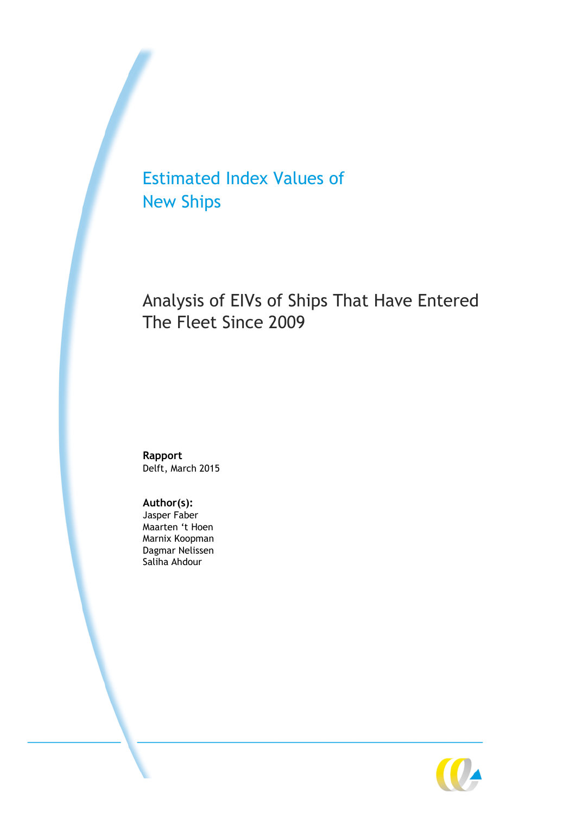### Estimated Index Values of New Ships

### Analysis of EIVs of Ships That Have Entered The Fleet Since 2009

**Rapport** Delft, March 2015

**Author(s):** Jasper Faber Maarten 't Hoen Marnix Koopman Dagmar Nelissen Saliha Ahdour

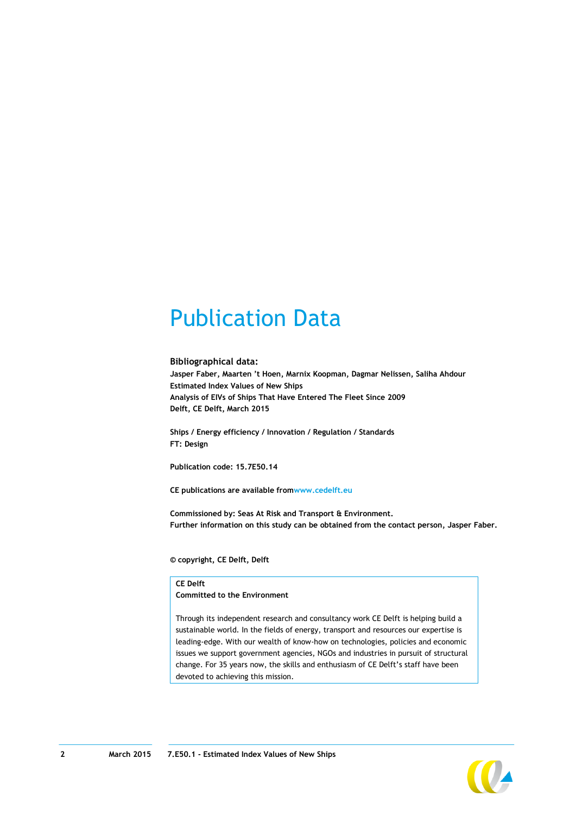## Publication Data

#### **Bibliographical data:**

**Jasper Faber, Maarten 't Hoen, Marnix Koopman, Dagmar Nelissen, Saliha Ahdour Estimated Index Values of New Ships Analysis of EIVs of Ships That Have Entered The Fleet Since 2009 Delft, CE Delft, March 2015**

**Ships / Energy efficiency / Innovation / Regulation / Standards FT: Design**

**Publication code: 15.7E50.14**

**CE publications are available fro[mwww.cedelft.eu](http://www.cedelft.eu/)**

**Commissioned by: Seas At Risk and Transport & Environment. Further information on this study can be obtained from the contact person, Jasper Faber.**

**© copyright, CE Delft, Delft**

#### **CE Delft**

**Committed to the Environment**

Through its independent research and consultancy work CE Delft is helping build a sustainable world. In the fields of energy, transport and resources our expertise is leading-edge. With our wealth of know-how on technologies, policies and economic issues we support government agencies, NGOs and industries in pursuit of structural change. For 35 years now, the skills and enthusiasm of CE Delft's staff have been devoted to achieving this mission.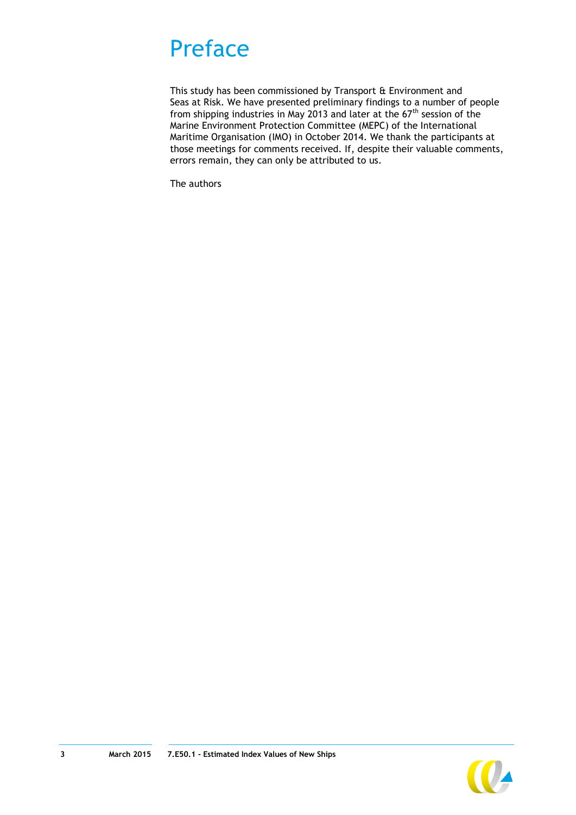## Preface

This study has been commissioned by Transport & Environment and Seas at Risk. We have presented preliminary findings to a number of people from shipping industries in May 2013 and later at the 67<sup>th</sup> session of the Marine Environment Protection Committee (MEPC) of the International Maritime Organisation (IMO) in October 2014. We thank the participants at those meetings for comments received. If, despite their valuable comments, errors remain, they can only be attributed to us.

The authors

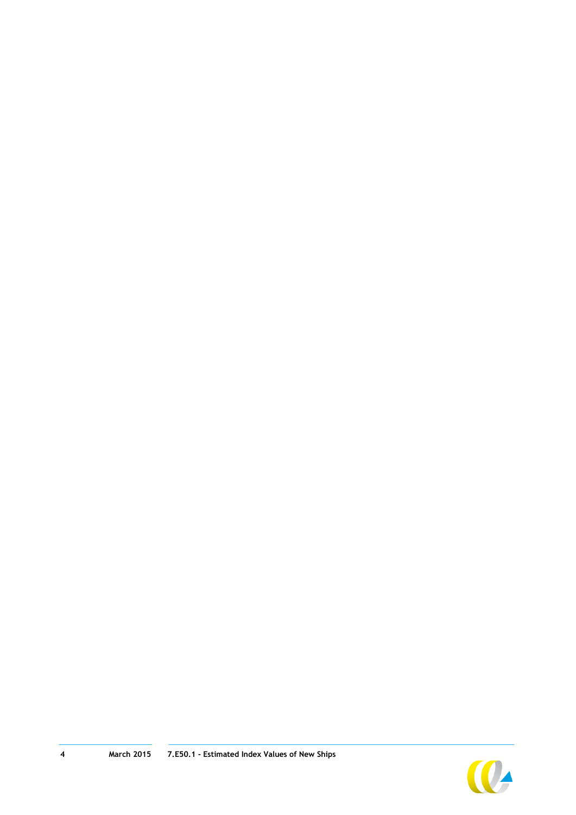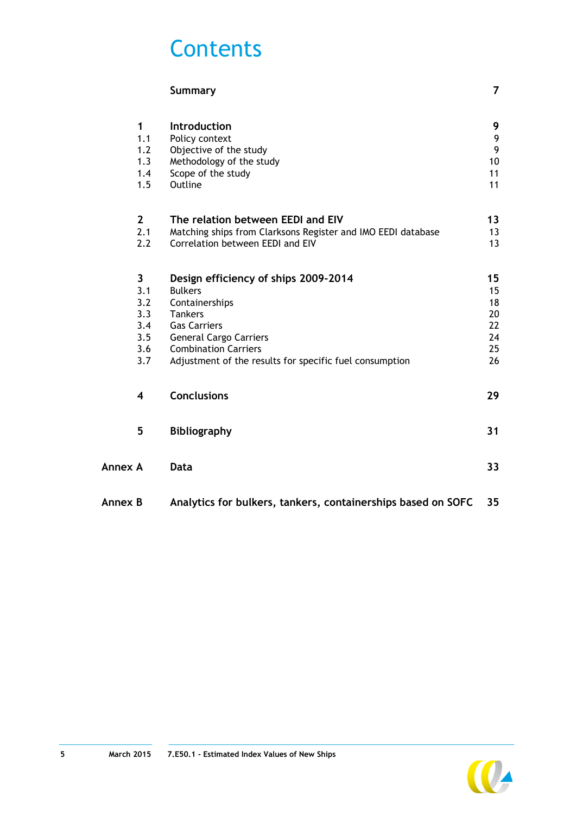## **Contents**

|                         | <b>Summary</b>                                               | $\overline{7}$ |
|-------------------------|--------------------------------------------------------------|----------------|
| 1                       | <b>Introduction</b>                                          | 9              |
| 1.1                     | Policy context                                               | 9              |
| 1.2                     | Objective of the study                                       | 9              |
| 1.3                     | Methodology of the study                                     | 10             |
| 1.4                     | Scope of the study<br>Outline                                | 11<br>11       |
| 1.5                     |                                                              |                |
| $\mathbf{2}$            | The relation between EEDI and EIV                            | 13             |
| 2.1                     | Matching ships from Clarksons Register and IMO EEDI database | 13             |
| 2.2                     | Correlation between EEDI and EIV                             | 13             |
| $\mathbf{3}$            | Design efficiency of ships 2009-2014                         | 15             |
| 3.1                     | <b>Bulkers</b>                                               | 15             |
| 3.2                     | Containerships                                               | 18             |
| 3.3                     | <b>Tankers</b>                                               | 20             |
| 3.4                     | <b>Gas Carriers</b>                                          | 22             |
| 3.5                     | <b>General Cargo Carriers</b>                                | 24             |
| 3.6                     | <b>Combination Carriers</b>                                  | 25             |
| 3.7                     | Adjustment of the results for specific fuel consumption      | 26             |
| $\overline{\mathbf{4}}$ | <b>Conclusions</b>                                           | 29             |
| 5                       | <b>Bibliography</b>                                          | 31             |
| Annex A                 | <b>Data</b>                                                  | 33             |
| <b>Annex B</b>          | Analytics for bulkers, tankers, containerships based on SOFC | 35             |

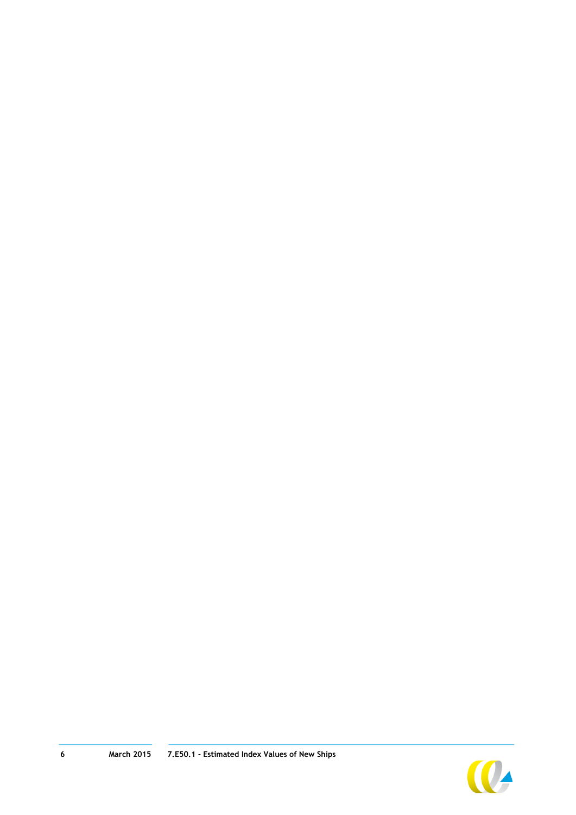<span id="page-5-0"></span>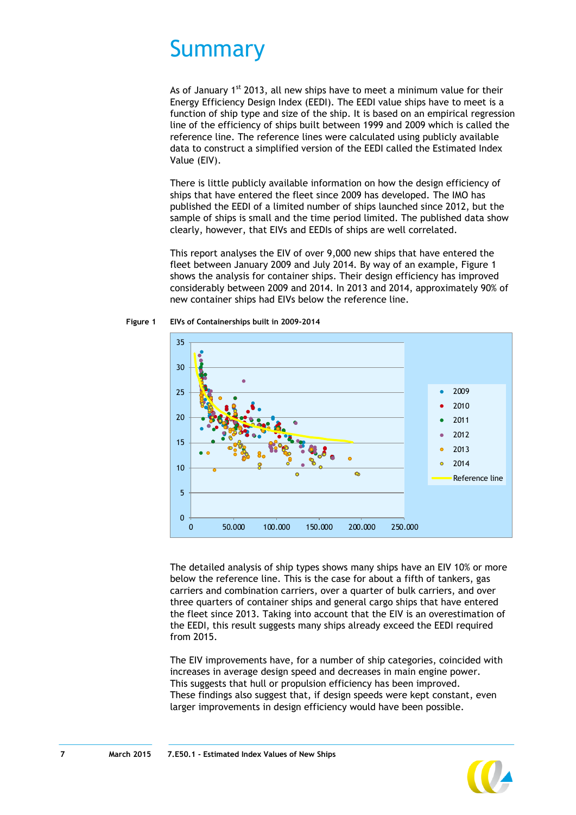## Summary

As of January  $1^{st}$  2013, all new ships have to meet a minimum value for their Energy Efficiency Design Index (EEDI). The EEDI value ships have to meet is a function of ship type and size of the ship. It is based on an empirical regression line of the efficiency of ships built between 1999 and 2009 which is called the reference line. The reference lines were calculated using publicly available data to construct a simplified version of the EEDI called the Estimated Index Value (EIV).

There is little publicly available information on how the design efficiency of ships that have entered the fleet since 2009 has developed. The IMO has published the EEDI of a limited number of ships launched since 2012, but the sample of ships is small and the time period limited. The published data show clearly, however, that EIVs and EEDIs of ships are well correlated.

This report analyses the EIV of over 9,000 new ships that have entered the fleet between January 2009 and July 2014. By way of an example, [Figure 1](#page-6-0) shows the analysis for container ships. Their design efficiency has improved considerably between 2009 and 2014. In 2013 and 2014, approximately 90% of new container ships had EIVs below the reference line.



<span id="page-6-0"></span>**Figure 1 EIVs of Containerships built in 2009-2014**

The detailed analysis of ship types shows many ships have an EIV 10% or more below the reference line. This is the case for about a fifth of tankers, gas carriers and combination carriers, over a quarter of bulk carriers, and over three quarters of container ships and general cargo ships that have entered the fleet since 2013. Taking into account that the EIV is an overestimation of the EEDI, this result suggests many ships already exceed the EEDI required from 2015.

The EIV improvements have, for a number of ship categories, coincided with increases in average design speed and decreases in main engine power. This suggests that hull or propulsion efficiency has been improved. These findings also suggest that, if design speeds were kept constant, even larger improvements in design efficiency would have been possible.

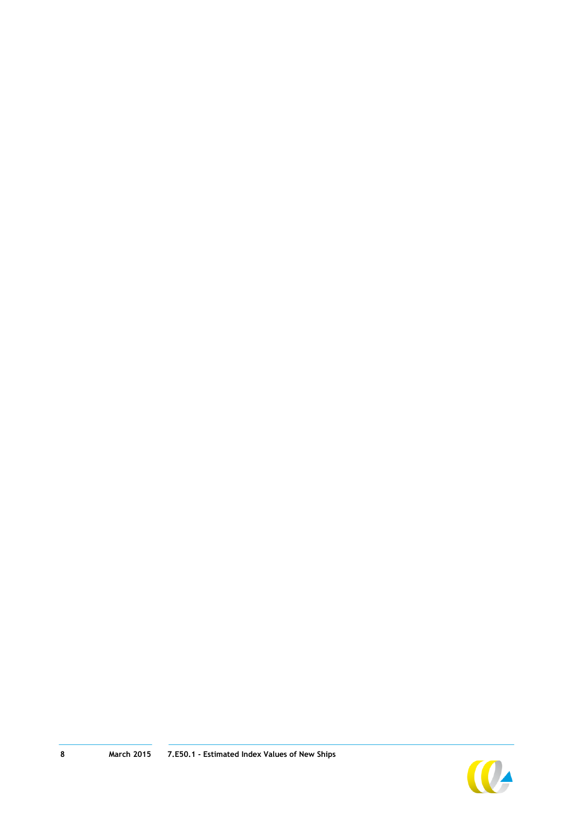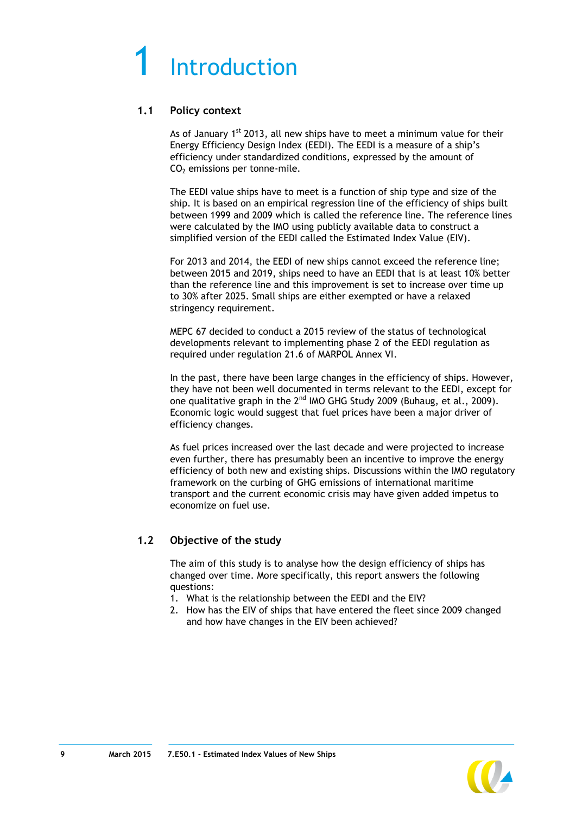# <span id="page-8-0"></span>**Introduction**

#### <span id="page-8-1"></span>**1.1 Policy context**

As of January 1<sup>st</sup> 2013, all new ships have to meet a minimum value for their Energy Efficiency Design Index (EEDI). The EEDI is a measure of a ship's efficiency under standardized conditions, expressed by the amount of  $CO<sub>2</sub>$  emissions per tonne-mile.

The EEDI value ships have to meet is a function of ship type and size of the ship. It is based on an empirical regression line of the efficiency of ships built between 1999 and 2009 which is called the reference line. The reference lines were calculated by the IMO using publicly available data to construct a simplified version of the EEDI called the Estimated Index Value (EIV).

For 2013 and 2014, the EEDI of new ships cannot exceed the reference line; between 2015 and 2019, ships need to have an EEDI that is at least 10% better than the reference line and this improvement is set to increase over time up to 30% after 2025. Small ships are either exempted or have a relaxed stringency requirement.

MEPC 67 decided to conduct a 2015 review of the status of technological developments relevant to implementing phase 2 of the EEDI regulation as required under regulation 21.6 of MARPOL Annex VI.

In the past, there have been large changes in the efficiency of ships. However, they have not been well documented in terms relevant to the EEDI, except for one qualitative graph in the 2nd IMO GHG Study 2009 (Buhaug, et al., 2009). Economic logic would suggest that fuel prices have been a major driver of efficiency changes.

As fuel prices increased over the last decade and were projected to increase even further, there has presumably been an incentive to improve the energy efficiency of both new and existing ships. Discussions within the IMO regulatory framework on the curbing of GHG emissions of international maritime transport and the current economic crisis may have given added impetus to economize on fuel use.

#### <span id="page-8-2"></span>**1.2 Objective of the study**

The aim of this study is to analyse how the design efficiency of ships has changed over time. More specifically, this report answers the following questions:

- 1. What is the relationship between the EEDI and the EIV?
- 2. How has the EIV of ships that have entered the fleet since 2009 changed and how have changes in the EIV been achieved?

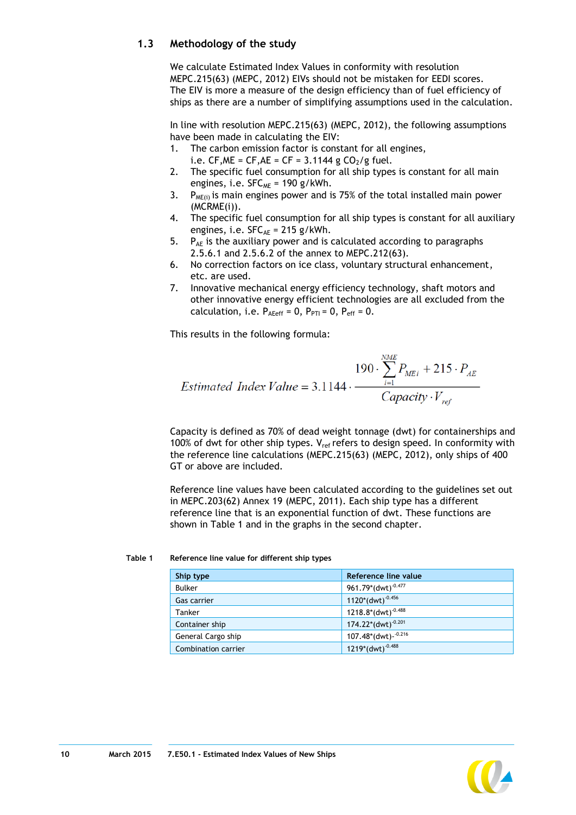#### <span id="page-9-0"></span>**1.3 Methodology of the study**

We calculate Estimated Index Values in conformity with resolution MEPC.215(63) (MEPC, 2012) EIVs should not be mistaken for EEDI scores. The EIV is more a measure of the design efficiency than of fuel efficiency of ships as there are a number of simplifying assumptions used in the calculation.

In line with resolution MEPC.215(63) (MEPC, 2012), the following assumptions have been made in calculating the EIV:

- 1. The carbon emission factor is constant for all engines,
	- i.e. CF, ME = CF, AE = CF =  $3.1144$  g CO<sub>2</sub>/g fuel.
- 2. The specific fuel consumption for all ship types is constant for all main engines, i.e.  $SFC_{ME} = 190$  g/kWh.
- 3. P<sub>ME(i)</sub> is main engines power and is 75% of the total installed main power (MCRME(i)).
- 4. The specific fuel consumption for all ship types is constant for all auxiliary engines, i.e.  $SFC_{AF} = 215$  g/kWh.
- 5.  $P_{AE}$  is the auxiliary power and is calculated according to paragraphs 2.5.6.1 and 2.5.6.2 of the annex to MEPC.212(63).
- 6. No correction factors on ice class, voluntary structural enhancement, etc. are used.
- 7. Innovative mechanical energy efficiency technology, shaft motors and other innovative energy efficient technologies are all excluded from the calculation, i.e.  $P_{A\text{Eeff}} = 0$ ,  $P_{PTI} = 0$ ,  $P_{eff} = 0$ .

This results in the following formula:

$$
190 \cdot \sum_{i=1}^{NME} P_{MEi} + 215 \cdot P_{AE}
$$
  
Estimated Index Value = 3.1144 · 
$$
\frac{Capacity \cdot V_{ref}}{Capacity \cdot V_{ref}}
$$

Capacity is defined as 70% of dead weight tonnage (dwt) for containerships and 100% of dwt for other ship types.  $V_{ref}$  refers to design speed. In conformity with the reference line calculations (MEPC.215(63) (MEPC, 2012), only ships of 400 GT or above are included.

Reference line values have been calculated according to the guidelines set out in MEPC.203(62) Annex 19 (MEPC, 2011). Each ship type has a different reference line that is an exponential function of dwt. These functions are shown in [Table 1](#page-9-1) and in the graphs in the second chapter.

#### <span id="page-9-1"></span>**Table 1 Reference line value for different ship types**

| Ship type           | Reference line value           |
|---------------------|--------------------------------|
| <b>Bulker</b>       | 961.79*(dwt) <sup>-0.477</sup> |
| Gas carrier         | $1120^*(dwt)^{-0.456}$         |
| Tanker              | 1218.8*(dwt) $^{-0.488}$       |
| Container ship      | 174.22*(dwt) $^{-0.201}$       |
| General Cargo ship  | 107.48*(dwt)- $-0.216$         |
| Combination carrier | $1219*(dwt)^{-0.488}$          |

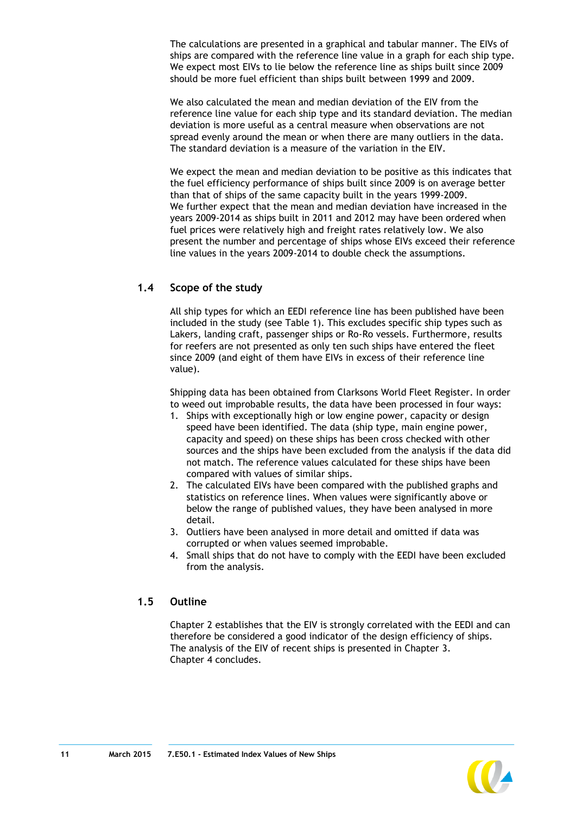The calculations are presented in a graphical and tabular manner. The EIVs of ships are compared with the reference line value in a graph for each ship type. We expect most EIVs to lie below the reference line as ships built since 2009 should be more fuel efficient than ships built between 1999 and 2009.

We also calculated the mean and median deviation of the EIV from the reference line value for each ship type and its standard deviation. The median deviation is more useful as a central measure when observations are not spread evenly around the mean or when there are many outliers in the data. The standard deviation is a measure of the variation in the EIV.

We expect the mean and median deviation to be positive as this indicates that the fuel efficiency performance of ships built since 2009 is on average better than that of ships of the same capacity built in the years 1999-2009. We further expect that the mean and median deviation have increased in the years 2009-2014 as ships built in 2011 and 2012 may have been ordered when fuel prices were relatively high and freight rates relatively low. We also present the number and percentage of ships whose EIVs exceed their reference line values in the years 2009-2014 to double check the assumptions.

#### <span id="page-10-0"></span>**1.4 Scope of the study**

All ship types for which an EEDI reference line has been published have been included in the study (see [Table 1\)](#page-9-1). This excludes specific ship types such as Lakers, landing craft, passenger ships or Ro-Ro vessels. Furthermore, results for reefers are not presented as only ten such ships have entered the fleet since 2009 (and eight of them have EIVs in excess of their reference line value).

Shipping data has been obtained from Clarksons World Fleet Register. In order to weed out improbable results, the data have been processed in four ways:

- 1. Ships with exceptionally high or low engine power, capacity or design speed have been identified. The data (ship type, main engine power, capacity and speed) on these ships has been cross checked with other sources and the ships have been excluded from the analysis if the data did not match. The reference values calculated for these ships have been compared with values of similar ships.
- 2. The calculated EIVs have been compared with the published graphs and statistics on reference lines. When values were significantly above or below the range of published values, they have been analysed in more detail.
- 3. Outliers have been analysed in more detail and omitted if data was corrupted or when values seemed improbable.
- 4. Small ships that do not have to comply with the EEDI have been excluded from the analysis.

#### <span id="page-10-2"></span><span id="page-10-1"></span>**1.5 Outline**

Chapter 2 establishes that the EIV is strongly correlated with the EEDI and can therefore be considered a good indicator of the design efficiency of ships. The analysis of the EIV of recent ships is presented in Chapter 3. Chapter 4 concludes.

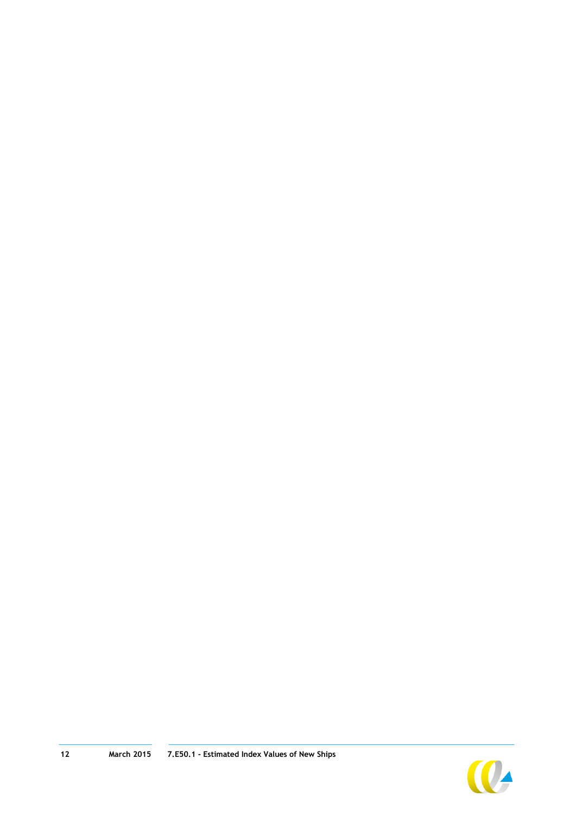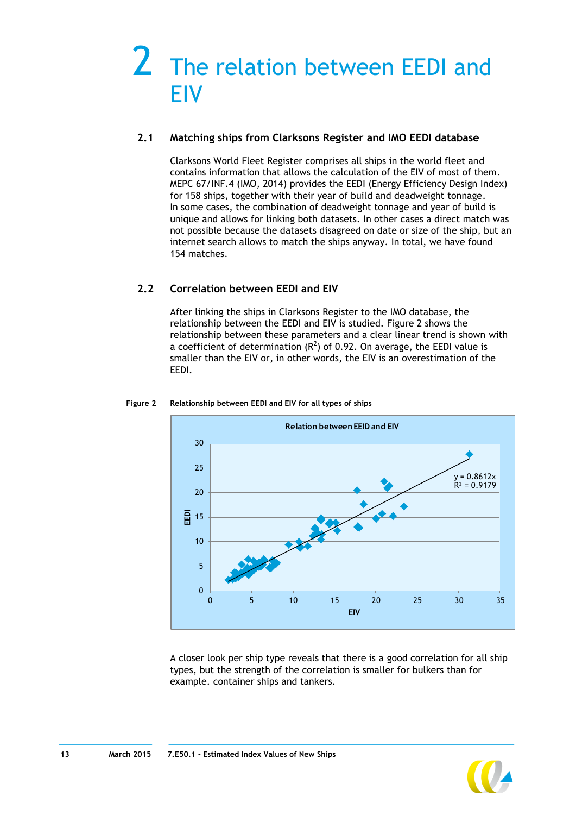## 2 The relation between EEDI and **EIV**

#### <span id="page-12-0"></span>**2.1 Matching ships from Clarksons Register and IMO EEDI database**

Clarksons World Fleet Register comprises all ships in the world fleet and contains information that allows the calculation of the EIV of most of them. MEPC 67/INF.4 (IMO, 2014) provides the EEDI (Energy Efficiency Design Index) for 158 ships, together with their year of build and deadweight tonnage. In some cases, the combination of deadweight tonnage and year of build is unique and allows for linking both datasets. In other cases a direct match was not possible because the datasets disagreed on date or size of the ship, but an internet search allows to match the ships anyway. In total, we have found 154 matches.

#### <span id="page-12-1"></span>**2.2 Correlation between EEDI and EIV**

After linking the ships in Clarksons Register to the IMO database, the relationship between the EEDI and EIV is studied. [Figure 2](#page-12-2) shows the relationship between these parameters and a clear linear trend is shown with a coefficient of determination  $(R^2)$  of 0.92. On average, the EEDI value is smaller than the EIV or, in other words, the EIV is an overestimation of the EEDI.



#### <span id="page-12-2"></span>**Figure 2 Relationship between EEDI and EIV for all types of ships**

A closer look per ship type reveals that there is a good correlation for all ship types, but the strength of the correlation is smaller for bulkers than for example. container ships and tankers.

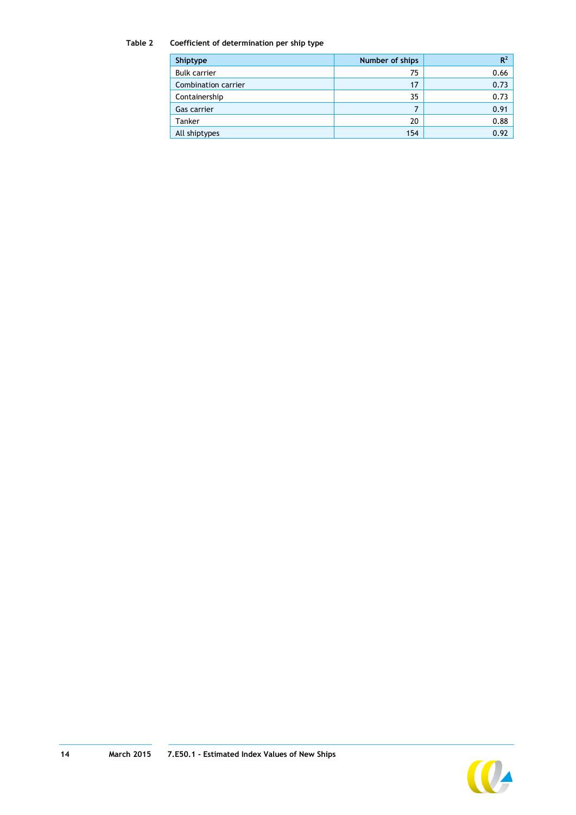#### <span id="page-13-0"></span>**Table 2 Coefficient of determination per ship type**

| Shiptype            | Number of ships | $R^2$ |
|---------------------|-----------------|-------|
| <b>Bulk carrier</b> | 75              | 0.66  |
| Combination carrier | 17              | 0.73  |
| Containership       | 35              | 0.73  |
| Gas carrier         |                 | 0.91  |
| Tanker              | 20              | 0.88  |
| All shiptypes       | 154             | 0.92  |

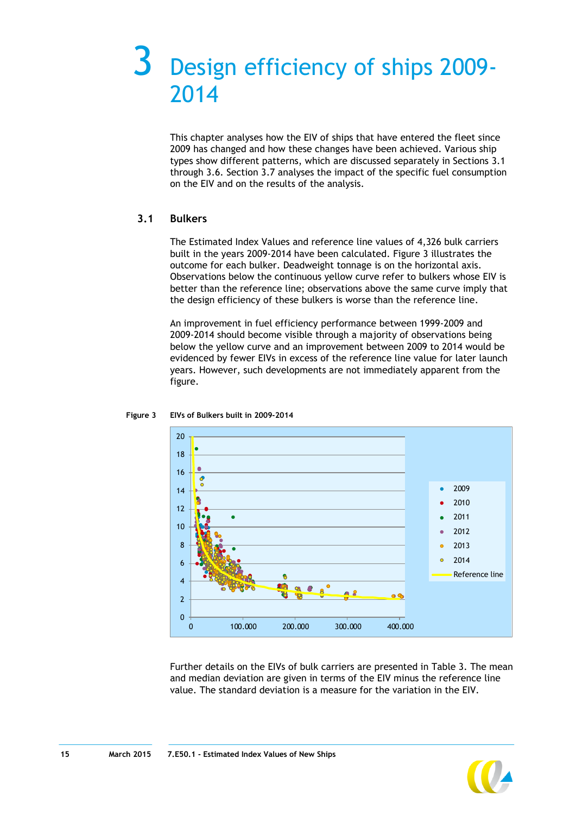## 3 Design efficiency of ships 2009- 2014

This chapter analyses how the EIV of ships that have entered the fleet since 2009 has changed and how these changes have been achieved. Various ship types show different patterns, which are discussed separately in Sections [3.1](#page-14-0) through [3.6.](#page-24-0) Section [3.7](#page-25-0) analyses the impact of the specific fuel consumption on the EIV and on the results of the analysis.

#### <span id="page-14-0"></span>**3.1 Bulkers**

The Estimated Index Values and reference line values of 4,326 bulk carriers built in the years 2009-2014 have been calculated. [Figure 3](#page-14-1) illustrates the outcome for each bulker. Deadweight tonnage is on the horizontal axis. Observations below the continuous yellow curve refer to bulkers whose EIV is better than the reference line; observations above the same curve imply that the design efficiency of these bulkers is worse than the reference line.

An improvement in fuel efficiency performance between 1999-2009 and 2009-2014 should become visible through a majority of observations being below the yellow curve and an improvement between 2009 to 2014 would be evidenced by fewer EIVs in excess of the reference line value for later launch years. However, such developments are not immediately apparent from the figure.



<span id="page-14-1"></span>

Further details on the EIVs of bulk carriers are presented in [Table 3.](#page-15-0) The mean and median deviation are given in terms of the EIV minus the reference line value. The standard deviation is a measure for the variation in the EIV.

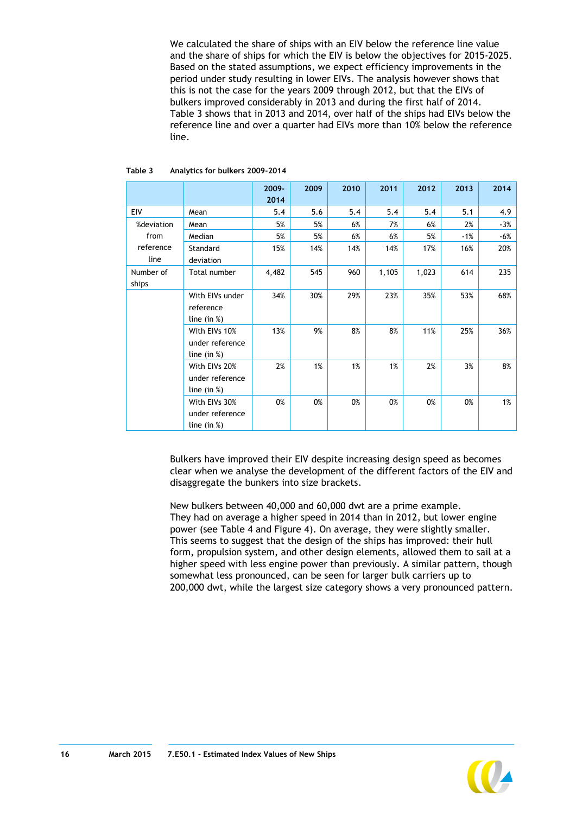We calculated the share of ships with an EIV below the reference line value and the share of ships for which the EIV is below the objectives for 2015-2025. Based on the stated assumptions, we expect efficiency improvements in the period under study resulting in lower EIVs. The analysis however shows that this is not the case for the years 2009 through 2012, but that the EIVs of bulkers improved considerably in 2013 and during the first half of 2014. [Table 3](#page-15-0) shows that in 2013 and 2014, over half of the ships had EIVs below the reference line and over a quarter had EIVs more than 10% below the reference line.

|            |                 | 2009- | 2009 | 2010 | 2011  | 2012  | 2013  | 2014  |
|------------|-----------------|-------|------|------|-------|-------|-------|-------|
|            |                 | 2014  |      |      |       |       |       |       |
| EIV        | Mean            | 5.4   | 5.6  | 5.4  | 5.4   | 5.4   | 5.1   | 4.9   |
| %deviation | Mean            | 5%    | 5%   | 6%   | 7%    | 6%    | 2%    | $-3%$ |
| from       | Median          | 5%    | 5%   | 6%   | 6%    | 5%    | $-1%$ | $-6%$ |
| reference  | Standard        | 15%   | 14%  | 14%  | 14%   | 17%   | 16%   | 20%   |
| line       | deviation       |       |      |      |       |       |       |       |
| Number of  | Total number    | 4,482 | 545  | 960  | 1,105 | 1,023 | 614   | 235   |
| ships      |                 |       |      |      |       |       |       |       |
|            | With EIVs under | 34%   | 30%  | 29%  | 23%   | 35%   | 53%   | 68%   |
|            | reference       |       |      |      |       |       |       |       |
|            | line (in $%$ )  |       |      |      |       |       |       |       |
|            | With EIVs 10%   | 13%   | 9%   | 8%   | 8%    | 11%   | 25%   | 36%   |
|            | under reference |       |      |      |       |       |       |       |
|            | line (in $\%$ ) |       |      |      |       |       |       |       |
|            | With EIVs 20%   | 2%    | 1%   | 1%   | 1%    | 2%    | 3%    | 8%    |
|            | under reference |       |      |      |       |       |       |       |
|            | line (in $%$ )  |       |      |      |       |       |       |       |
|            | With EIVs 30%   | 0%    | 0%   | 0%   | 0%    | 0%    | 0%    | 1%    |
|            | under reference |       |      |      |       |       |       |       |
|            | line (in $\%$ ) |       |      |      |       |       |       |       |

#### <span id="page-15-0"></span>**Table 3 Analytics for bulkers 2009-2014**

Bulkers have improved their EIV despite increasing design speed as becomes clear when we analyse the development of the different factors of the EIV and disaggregate the bunkers into size brackets.

New bulkers between 40,000 and 60,000 dwt are a prime example. They had on average a higher speed in 2014 than in 2012, but lower engine power (see [Table 4](#page-16-0) and Figure 4). On average, they were slightly smaller. This seems to suggest that the design of the ships has improved: their hull form, propulsion system, and other design elements, allowed them to sail at a higher speed with less engine power than previously. A similar pattern, though somewhat less pronounced, can be seen for larger bulk carriers up to 200,000 dwt, while the largest size category shows a very pronounced pattern.

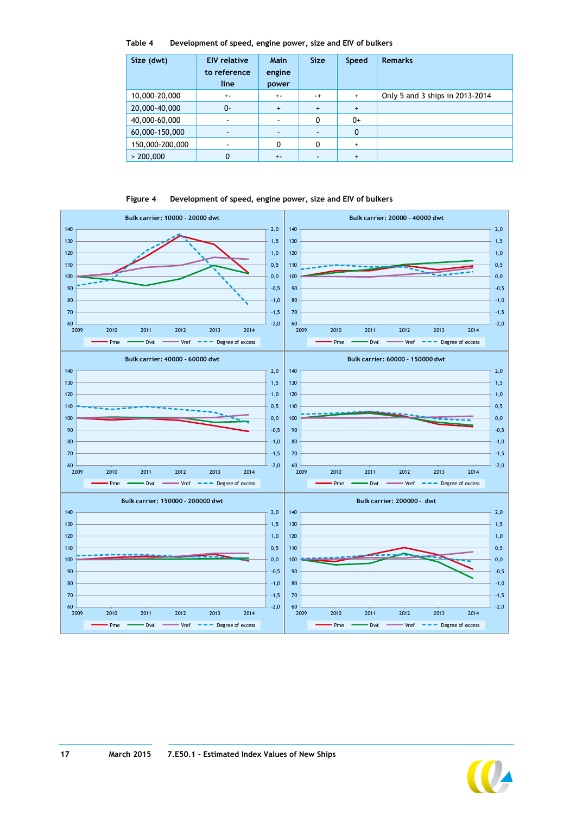#### <span id="page-16-0"></span>**Table 4 Development of speed, engine power, size and EIV of bulkers**

| Size (dwt)      | <b>EIV</b> relative<br>to reference<br>line | <b>Main</b><br>engine<br>power | <b>Size</b> | Speed       | <b>Remarks</b>                  |
|-----------------|---------------------------------------------|--------------------------------|-------------|-------------|---------------------------------|
| 10,000-20,000   | $+ -$                                       | $+ -$                          | $-+$        | $+$         | Only 5 and 3 ships in 2013-2014 |
| 20,000-40,000   | $0 -$                                       | $\ddot{}$                      | $\ddot{}$   | $+$         |                                 |
| 40,000-60,000   | $\overline{\phantom{a}}$                    | ٠                              | 0           | $0+$        |                                 |
| 60,000-150,000  | ٠                                           | ٠                              | ٠           | $\mathbf 0$ |                                 |
| 150,000-200,000 |                                             | 0                              | 0           | $\ddot{}$   |                                 |
| > 200,000       | 0                                           | $+ -$                          |             | $\ddot{}$   |                                 |

**Figure 4 Development of speed, engine power, size and EIV of bulkers**



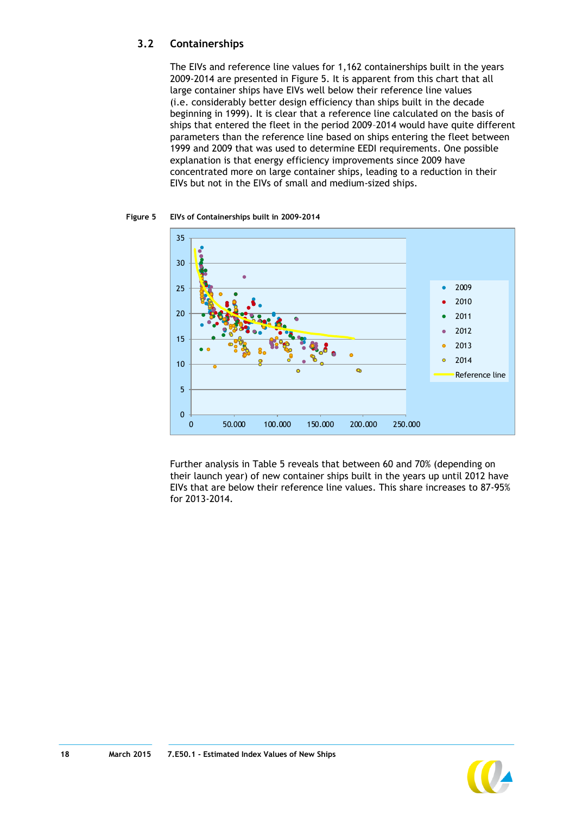#### <span id="page-17-0"></span>**3.2 Containerships**

The EIVs and reference line values for 1,162 containerships built in the years 2009-2014 are presented in [Figure 5.](#page-17-1) It is apparent from this chart that all large container ships have EIVs well below their reference line values (i.e. considerably better design efficiency than ships built in the decade beginning in 1999). It is clear that a reference line calculated on the basis of ships that entered the fleet in the period 2009–2014 would have quite different parameters than the reference line based on ships entering the fleet between 1999 and 2009 that was used to determine EEDI requirements. One possible explanation is that energy efficiency improvements since 2009 have concentrated more on large container ships, leading to a reduction in their EIVs but not in the EIVs of small and medium-sized ships.

<span id="page-17-1"></span>**Figure 5 EIVs of Containerships built in 2009-2014**



Further analysis in [Table 5](#page-18-0) reveals that between 60 and 70% (depending on their launch year) of new container ships built in the years up until 2012 have EIVs that are below their reference line values. This share increases to 87-95% for 2013-2014.

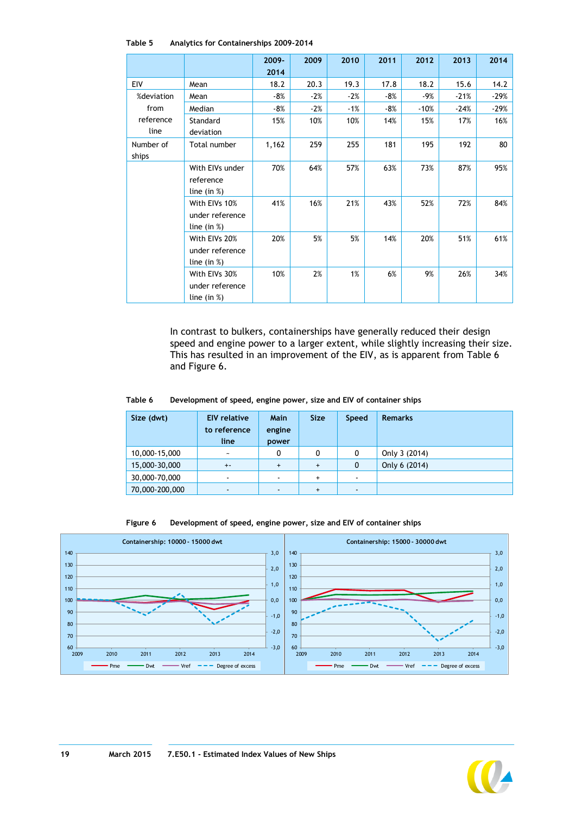<span id="page-18-0"></span>

| Table 5 | Analytics for Containerships 2009-2014 |  |  |
|---------|----------------------------------------|--|--|
|         |                                        |  |  |

|                    |                                                     | 2009-<br>2014 | 2009  | 2010  | 2011  | 2012   | 2013   | 2014   |
|--------------------|-----------------------------------------------------|---------------|-------|-------|-------|--------|--------|--------|
| EIV                | Mean                                                | 18.2          | 20.3  | 19.3  | 17.8  | 18.2   | 15.6   | 14.2   |
| %deviation         | Mean                                                | $-8%$         | $-2%$ | $-2%$ | $-8%$ | $-9%$  | $-21%$ | $-29%$ |
| from               | Median                                              | $-8%$         | $-2%$ | $-1%$ | $-8%$ | $-10%$ | $-24%$ | $-29%$ |
| reference<br>line  | Standard<br>deviation                               | 15%           | 10%   | 10%   | 14%   | 15%    | 17%    | 16%    |
| Number of<br>ships | Total number                                        | 1,162         | 259   | 255   | 181   | 195    | 192    | 80     |
|                    | With EIVs under<br>reference<br>line (in $\%$ )     | 70%           | 64%   | 57%   | 63%   | 73%    | 87%    | 95%    |
|                    | With EIVs 10%<br>under reference<br>line (in $\%$ ) | 41%           | 16%   | 21%   | 43%   | 52%    | 72%    | 84%    |
|                    | With EIVs 20%<br>under reference<br>line (in $%$ )  | 20%           | 5%    | 5%    | 14%   | 20%    | 51%    | 61%    |
|                    | With EIVs 30%<br>under reference<br>line (in $%$ )  | 10%           | 2%    | 1%    | 6%    | 9%     | 26%    | 34%    |

In contrast to bulkers, containerships have generally reduced their design speed and engine power to a larger extent, while slightly increasing their size. This has resulted in an improvement of the EIV, as is apparent from [Table 6](#page-18-1) and [Figure 6.](#page-18-2)

#### <span id="page-18-1"></span>**Table 6 Development of speed, engine power, size and EIV of container ships**

| Size (dwt)     | <b>EIV</b> relative<br>to reference<br>line | <b>Main</b><br>engine<br>power | <b>Size</b> | Speed                    | <b>Remarks</b> |
|----------------|---------------------------------------------|--------------------------------|-------------|--------------------------|----------------|
| 10,000-15,000  | $\tilde{\phantom{a}}$                       | 0                              | 0           | 0                        | Only 3 (2014)  |
| 15,000-30,000  | $+ -$                                       | $\ddot{}$                      | $\ddot{}$   | $\mathbf{0}$             | Only 6 (2014)  |
| 30,000-70,000  |                                             | $\overline{\phantom{0}}$       | $\ddot{}$   | $\overline{\phantom{a}}$ |                |
| 70,000-200,000 |                                             | $\overline{\phantom{0}}$       | $\ddot{}$   | $\overline{\phantom{a}}$ |                |

#### **Figure 6 Development of speed, engine power, size and EIV of container ships**

<span id="page-18-2"></span>

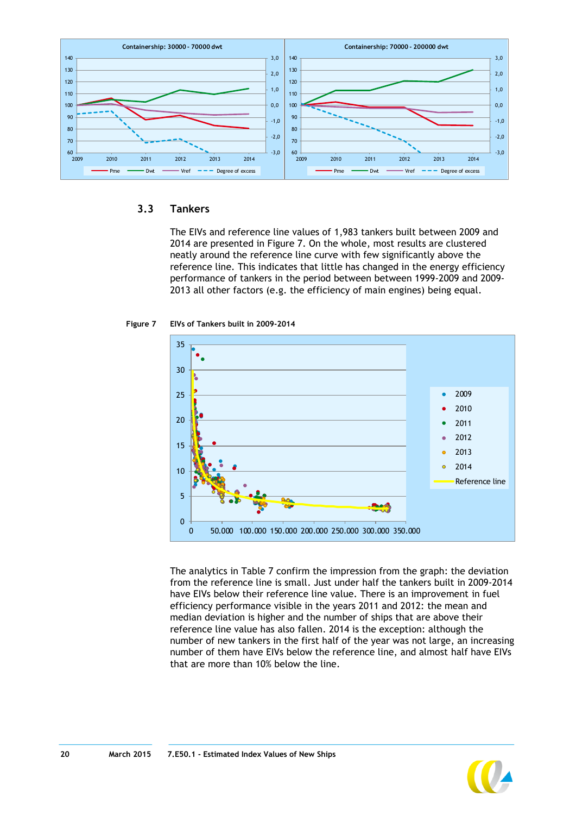

#### <span id="page-19-0"></span>**3.3 Tankers**

The EIVs and reference line values of 1,983 tankers built between 2009 and 2014 are presented in [Figure 7.](#page-19-1) On the whole, most results are clustered neatly around the reference line curve with few significantly above the reference line. This indicates that little has changed in the energy efficiency performance of tankers in the period between between 1999-2009 and 2009- 2013 all other factors (e.g. the efficiency of main engines) being equal.

<span id="page-19-1"></span>



The analytics in [Table 7](#page-20-0) confirm the impression from the graph: the deviation from the reference line is small. Just under half the tankers built in 2009-2014 have EIVs below their reference line value. There is an improvement in fuel efficiency performance visible in the years 2011 and 2012: the mean and median deviation is higher and the number of ships that are above their reference line value has also fallen. 2014 is the exception: although the number of new tankers in the first half of the year was not large, an increasing number of them have EIVs below the reference line, and almost half have EIVs that are more than 10% below the line.

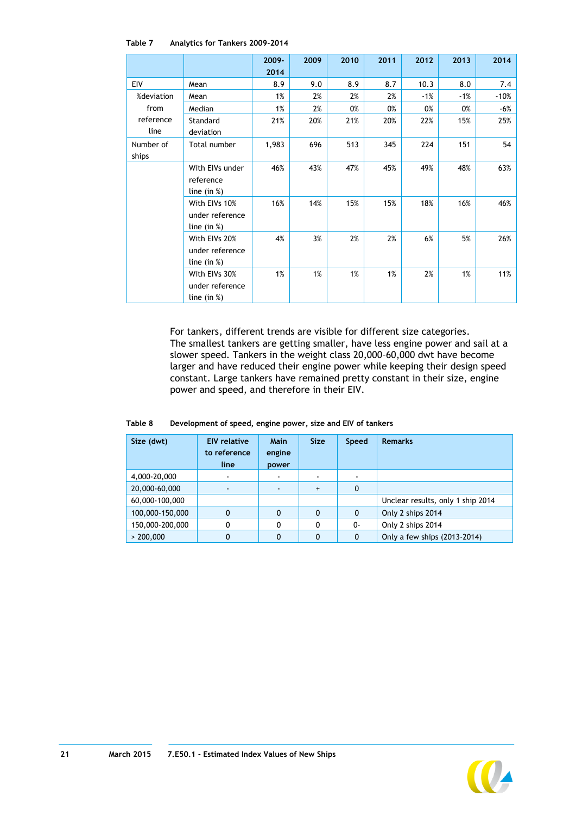#### <span id="page-20-0"></span>**Table 7 Analytics for Tankers 2009-2014**

|                    |                                                     | 2009-<br>2014 | 2009 | 2010 | 2011 | 2012  | 2013  | 2014   |
|--------------------|-----------------------------------------------------|---------------|------|------|------|-------|-------|--------|
| <b>EIV</b>         | Mean                                                | 8.9           | 9.0  | 8.9  | 8.7  | 10.3  | 8.0   | 7.4    |
| %deviation         | Mean                                                | 1%            | 2%   | 2%   | 2%   | $-1%$ | $-1%$ | $-10%$ |
| from               | Median                                              | 1%            | 2%   | 0%   | 0%   | 0%    | 0%    | $-6%$  |
| reference<br>line  | Standard<br>deviation                               | 21%           | 20%  | 21%  | 20%  | 22%   | 15%   | 25%    |
| Number of<br>ships | Total number                                        | 1,983         | 696  | 513  | 345  | 224   | 151   | 54     |
|                    | With EIVs under<br>reference<br>line (in $\%$ )     | 46%           | 43%  | 47%  | 45%  | 49%   | 48%   | 63%    |
|                    | With EIVs 10%<br>under reference<br>line (in $\%$ ) | 16%           | 14%  | 15%  | 15%  | 18%   | 16%   | 46%    |
|                    | With EIVs 20%<br>under reference<br>line (in $%$ )  | 4%            | 3%   | 2%   | 2%   | 6%    | 5%    | 26%    |
|                    | With EIVs 30%<br>under reference<br>line (in $\%$ ) | 1%            | 1%   | 1%   | 1%   | 2%    | 1%    | 11%    |

For tankers, different trends are visible for different size categories. The smallest tankers are getting smaller, have less engine power and sail at a slower speed. Tankers in the weight class 20,000–60,000 dwt have become larger and have reduced their engine power while keeping their design speed constant. Large tankers have remained pretty constant in their size, engine power and speed, and therefore in their EIV.

| Table 8 | Development of speed, engine power, size and EIV of tankers |
|---------|-------------------------------------------------------------|
|---------|-------------------------------------------------------------|

| Size (dwt)      | <b>EIV</b> relative<br>to reference<br>line | <b>Main</b><br>engine<br>power | <b>Size</b> | Speed                    | <b>Remarks</b>                    |
|-----------------|---------------------------------------------|--------------------------------|-------------|--------------------------|-----------------------------------|
| 4,000-20,000    |                                             | ٠                              |             | $\overline{\phantom{a}}$ |                                   |
| 20,000-60,000   |                                             | ۰                              | $+$         | $\Omega$                 |                                   |
| 60,000-100,000  |                                             |                                |             |                          | Unclear results, only 1 ship 2014 |
| 100,000-150,000 | $\mathbf{0}$                                | 0                              | 0           | $\mathbf{0}$             | Only 2 ships 2014                 |
| 150,000-200,000 |                                             | O                              | 0           | 0-                       | Only 2 ships 2014                 |
| > 200,000       |                                             | $\Omega$                       | $\Omega$    | $\Omega$                 | Only a few ships (2013-2014)      |

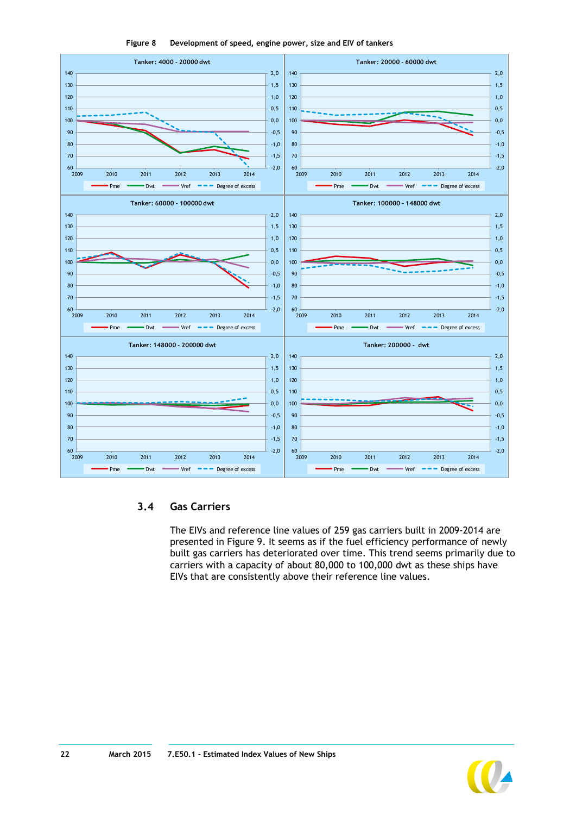

#### **Figure 8 Development of speed, engine power, size and EIV of tankers**

#### <span id="page-21-0"></span>**3.4 Gas Carriers**

The EIVs and reference line values of 259 gas carriers built in 2009-2014 are presented in [Figure 9.](#page-22-0) It seems as if the fuel efficiency performance of newly built gas carriers has deteriorated over time. This trend seems primarily due to carriers with a capacity of about 80,000 to 100,000 dwt as these ships have EIVs that are consistently above their reference line values.

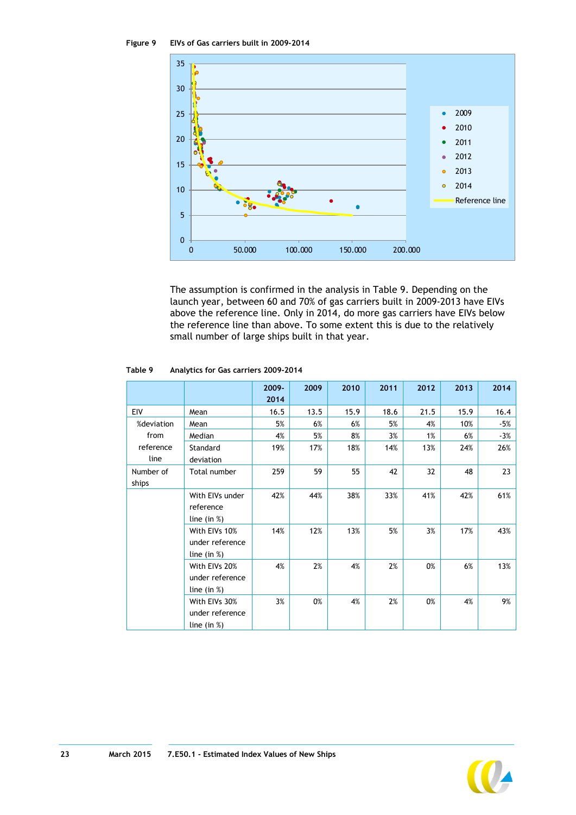<span id="page-22-0"></span>



The assumption is confirmed in the analysis in [Table 9.](#page-22-1) Depending on the launch year, between 60 and 70% of gas carriers built in 2009-2013 have EIVs above the reference line. Only in 2014, do more gas carriers have EIVs below the reference line than above. To some extent this is due to the relatively small number of large ships built in that year.

|            |                 | 2009- | 2009 | 2010 | 2011 | 2012 | 2013 | 2014  |
|------------|-----------------|-------|------|------|------|------|------|-------|
|            |                 | 2014  |      |      |      |      |      |       |
| <b>EIV</b> | Mean            | 16.5  | 13.5 | 15.9 | 18.6 | 21.5 | 15.9 | 16.4  |
| %deviation | Mean            | 5%    | 6%   | 6%   | 5%   | 4%   | 10%  | $-5%$ |
| from       | Median          | 4%    | 5%   | 8%   | 3%   | 1%   | 6%   | $-3%$ |
| reference  | Standard        | 19%   | 17%  | 18%  | 14%  | 13%  | 24%  | 26%   |
| line       | deviation       |       |      |      |      |      |      |       |
| Number of  | Total number    | 259   | 59   | 55   | 42   | 32   | 48   | 23    |
| ships      |                 |       |      |      |      |      |      |       |
|            | With EIVs under | 42%   | 44%  | 38%  | 33%  | 41%  | 42%  | 61%   |
|            | reference       |       |      |      |      |      |      |       |
|            | line (in $\%$ ) |       |      |      |      |      |      |       |
|            | With EIVs 10%   | 14%   | 12%  | 13%  | 5%   | 3%   | 17%  | 43%   |
|            | under reference |       |      |      |      |      |      |       |
|            | line (in $\%$ ) |       |      |      |      |      |      |       |
|            | With EIVs 20%   | 4%    | 2%   | 4%   | 2%   | 0%   | 6%   | 13%   |
|            | under reference |       |      |      |      |      |      |       |
|            | line (in $\%$ ) |       |      |      |      |      |      |       |
|            | With EIVs 30%   | 3%    | 0%   | 4%   | 2%   | 0%   | 4%   | 9%    |
|            | under reference |       |      |      |      |      |      |       |
|            | line (in $\%$ ) |       |      |      |      |      |      |       |

<span id="page-22-1"></span>**Table 9 Analytics for Gas carriers 2009-2014**

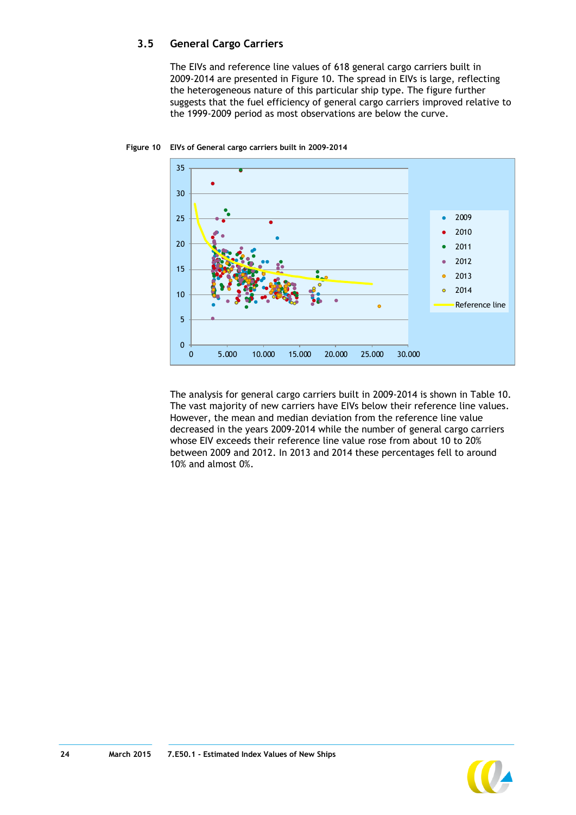#### <span id="page-23-0"></span>**3.5 General Cargo Carriers**

The EIVs and reference line values of 618 general cargo carriers built in 2009-2014 are presented in [Figure 10.](#page-23-1) The spread in EIVs is large, reflecting the heterogeneous nature of this particular ship type. The figure further suggests that the fuel efficiency of general cargo carriers improved relative to the 1999-2009 period as most observations are below the curve.



<span id="page-23-1"></span>**Figure 10 EIVs of General cargo carriers built in 2009-2014**

The analysis for general cargo carriers built in 2009-2014 is shown in [Table 10.](#page-24-1) The vast majority of new carriers have EIVs below their reference line values. However, the mean and median deviation from the reference line value decreased in the years 2009-2014 while the number of general cargo carriers whose EIV exceeds their reference line value rose from about 10 to 20% between 2009 and 2012. In 2013 and 2014 these percentages fell to around 10% and almost 0%.

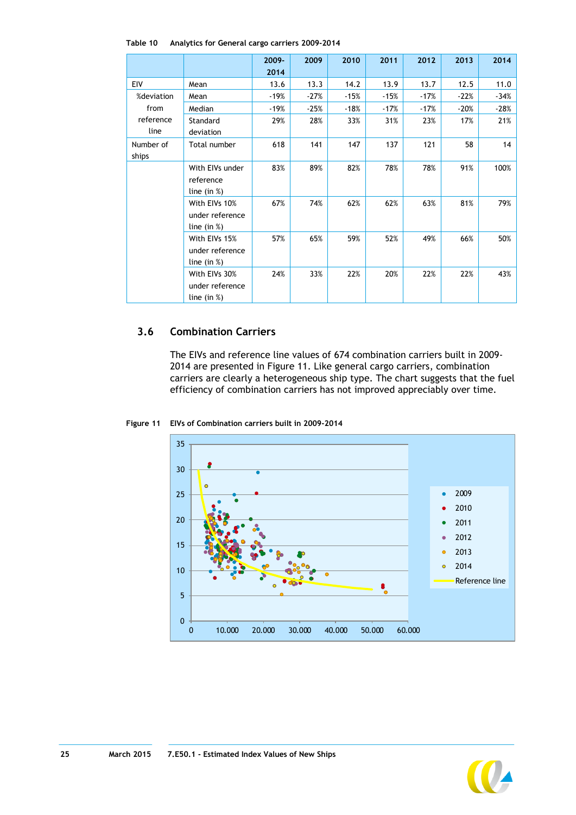<span id="page-24-1"></span>**Table 10 Analytics for General cargo carriers 2009-2014**

|            |                 | 2009-<br>2014 | 2009   | 2010   | 2011   | 2012   | 2013   | 2014   |
|------------|-----------------|---------------|--------|--------|--------|--------|--------|--------|
| <b>EIV</b> | Mean            | 13.6          | 13.3   | 14.2   | 13.9   | 13.7   | 12.5   | 11.0   |
| %deviation | Mean            | $-19%$        | $-27%$ | $-15%$ | $-15%$ | $-17%$ | $-22%$ | $-34%$ |
| from       | Median          | $-19%$        | $-25%$ | $-18%$ | $-17%$ | $-17%$ | $-20%$ | $-28%$ |
| reference  | Standard        | 29%           | 28%    | 33%    | 31%    | 23%    | 17%    | 21%    |
| line       | deviation       |               |        |        |        |        |        |        |
| Number of  | Total number    | 618           | 141    | 147    | 137    | 121    | 58     | 14     |
| ships      |                 |               |        |        |        |        |        |        |
|            | With EIVs under | 83%           | 89%    | 82%    | 78%    | 78%    | 91%    | 100%   |
|            | reference       |               |        |        |        |        |        |        |
|            | line (in $\%$ ) |               |        |        |        |        |        |        |
|            | With EIVs 10%   | 67%           | 74%    | 62%    | 62%    | 63%    | 81%    | 79%    |
|            | under reference |               |        |        |        |        |        |        |
|            | line (in $\%$ ) |               |        |        |        |        |        |        |
|            | With EIVs 15%   | 57%           | 65%    | 59%    | 52%    | 49%    | 66%    | 50%    |
|            | under reference |               |        |        |        |        |        |        |
|            | line (in $\%$ ) |               |        |        |        |        |        |        |
|            | With EIVs 30%   | 24%           | 33%    | 22%    | 20%    | 22%    | 22%    | 43%    |
|            | under reference |               |        |        |        |        |        |        |
|            | line (in $\%$ ) |               |        |        |        |        |        |        |

#### <span id="page-24-0"></span>**3.6 Combination Carriers**

The EIVs and reference line values of 674 combination carriers built in 2009- 2014 are presented in [Figure 11.](#page-24-2) Like general cargo carriers, combination carriers are clearly a heterogeneous ship type. The chart suggests that the fuel efficiency of combination carriers has not improved appreciably over time.



<span id="page-24-2"></span>**Figure 11 EIVs of Combination carriers built in 2009-2014**

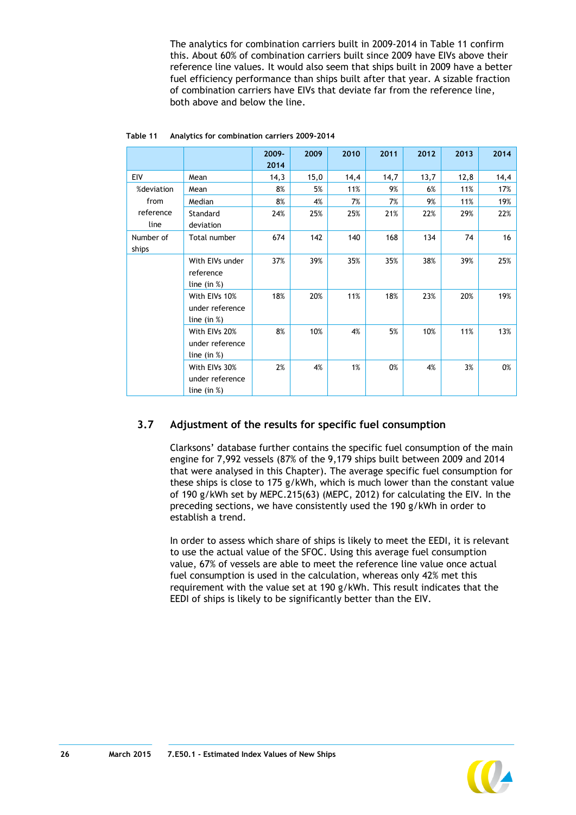The analytics for combination carriers built in 2009-2014 in [Table 11](#page-25-1) confirm this. About 60% of combination carriers built since 2009 have EIVs above their reference line values. It would also seem that ships built in 2009 have a better fuel efficiency performance than ships built after that year. A sizable fraction of combination carriers have EIVs that deviate far from the reference line, both above and below the line.

|            |                 | $2009 -$<br>2014 | 2009 | 2010  | 2011 | 2012 | 2013 | 2014 |
|------------|-----------------|------------------|------|-------|------|------|------|------|
| EIV        | Mean            | 14,3             | 15,0 | 14, 4 | 14,7 | 13,7 | 12,8 | 14,4 |
| %deviation | Mean            | 8%               | 5%   | 11%   | 9%   | 6%   | 11%  | 17%  |
| from       | Median          | 8%               | 4%   | 7%    | 7%   | 9%   | 11%  | 19%  |
| reference  | Standard        | 24%              | 25%  | 25%   | 21%  | 22%  | 29%  | 22%  |
| line       | deviation       |                  |      |       |      |      |      |      |
| Number of  | Total number    | 674              | 142  | 140   | 168  | 134  | 74   | 16   |
| ships      |                 |                  |      |       |      |      |      |      |
|            | With EIVs under | 37%              | 39%  | 35%   | 35%  | 38%  | 39%  | 25%  |
|            | reference       |                  |      |       |      |      |      |      |
|            | line (in $\%$ ) |                  |      |       |      |      |      |      |
|            | With EIVs 10%   | 18%              | 20%  | 11%   | 18%  | 23%  | 20%  | 19%  |
|            | under reference |                  |      |       |      |      |      |      |
|            | line (in $\%$ ) |                  |      |       |      |      |      |      |
|            | With EIVs 20%   | 8%               | 10%  | 4%    | 5%   | 10%  | 11%  | 13%  |
|            | under reference |                  |      |       |      |      |      |      |
|            | line (in $\%$ ) |                  |      |       |      |      |      |      |
|            | With EIVs 30%   | 2%               | 4%   | 1%    | 0%   | 4%   | 3%   | 0%   |
|            | under reference |                  |      |       |      |      |      |      |
|            | line (in $\%$ ) |                  |      |       |      |      |      |      |

#### <span id="page-25-1"></span>**Table 11 Analytics for combination carriers 2009-2014**

#### <span id="page-25-0"></span>**3.7 Adjustment of the results for specific fuel consumption**

Clarksons' database further contains the specific fuel consumption of the main engine for 7,992 vessels (87% of the 9,179 ships built between 2009 and 2014 that were analysed in this Chapter). The average specific fuel consumption for these ships is close to 175 g/kWh, which is much lower than the constant value of 190 g/kWh set by MEPC.215(63) (MEPC, 2012) for calculating the EIV. In the preceding sections, we have consistently used the 190 g/kWh in order to establish a trend.

In order to assess which share of ships is likely to meet the EEDI, it is relevant to use the actual value of the SFOC. Using this average fuel consumption value, 67% of vessels are able to meet the reference line value once actual fuel consumption is used in the calculation, whereas only 42% met this requirement with the value set at 190 g/kWh. This result indicates that the EEDI of ships is likely to be significantly better than the EIV.

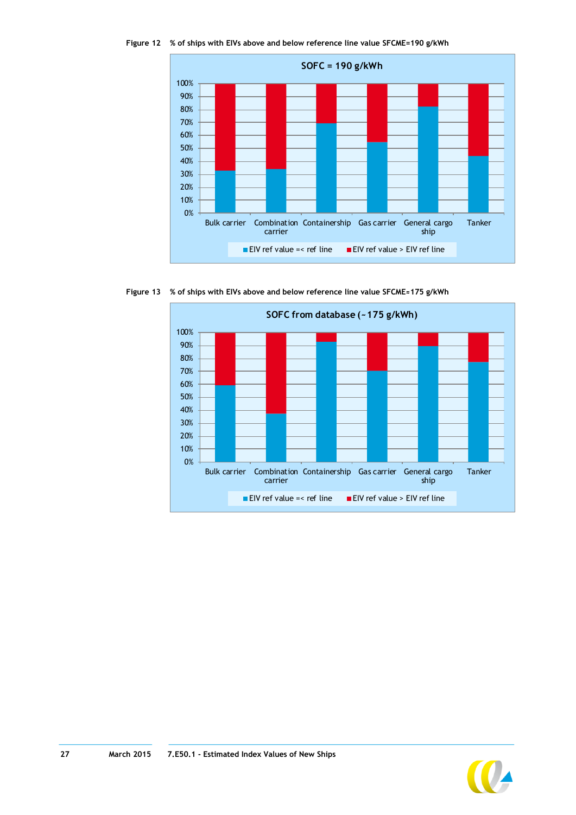



<span id="page-26-0"></span>**Figure 13 % of ships with EIVs above and below reference line value SFCME≈175 g/kWh**



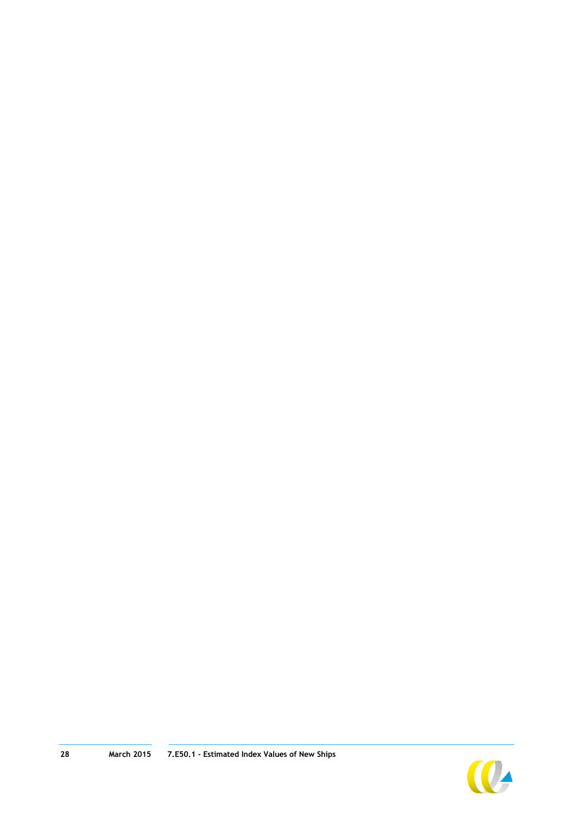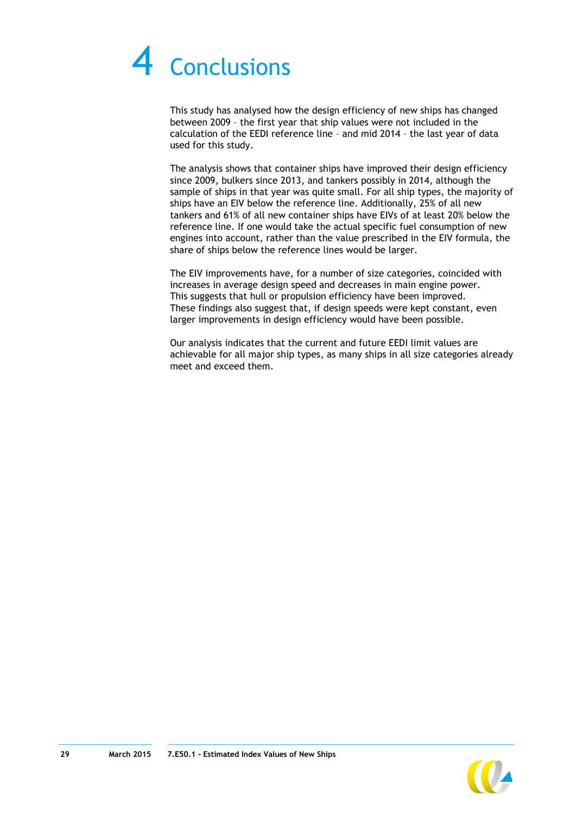# **Conclusions**

This study has analysed how the design efficiency of new ships has changed between 2009 – the first year that ship values were not included in the calculation of the EEDI reference line – and mid 2014 – the last year of data used for this study.

The analysis shows that container ships have improved their design efficiency since 2009, bulkers since 2013, and tankers possibly in 2014, although the sample of ships in that year was quite small. For all ship types, the majority of ships have an EIV below the reference line. Additionally, 25% of all new tankers and 61% of all new container ships have EIVs of at least 20% below the reference line. If one would take the actual specific fuel consumption of new engines into account, rather than the value prescribed in the EIV formula, the share of ships below the reference lines would be larger.

The EIV improvements have, for a number of size categories, coincided with increases in average design speed and decreases in main engine power. This suggests that hull or propulsion efficiency have been improved. These findings also suggest that, if design speeds were kept constant, even larger improvements in design efficiency would have been possible.

Our analysis indicates that the current and future EEDI limit values are achievable for all major ship types, as many ships in all size categories already meet and exceed them.

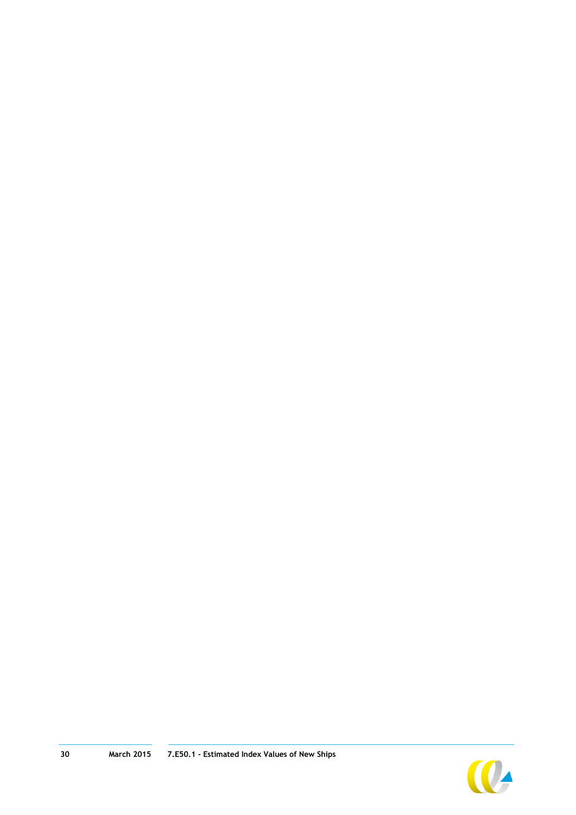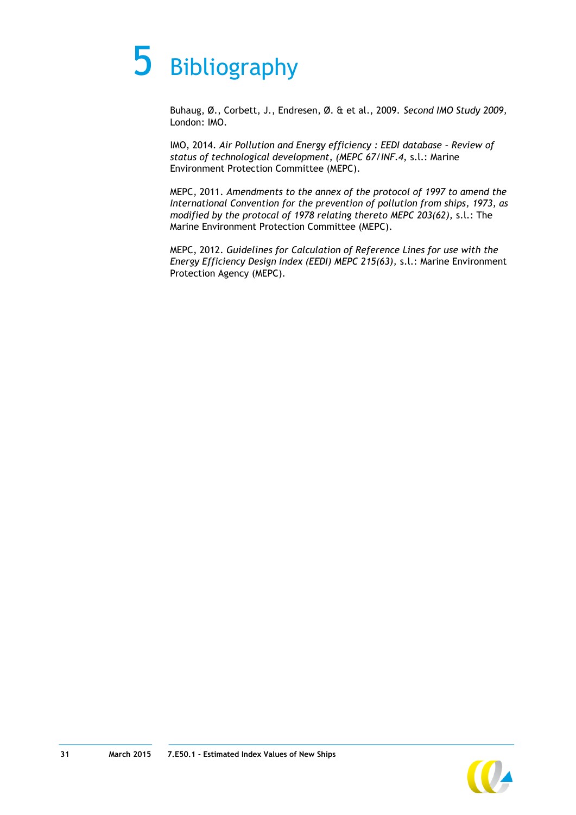# <span id="page-30-0"></span>5 Bibliography

Buhaug, Ø., Corbett, J., Endresen, Ø. & et al., 2009. *Second IMO Study 2009,*  London: IMO.

IMO, 2014. *Air Pollution and Energy efficiency : EEDI database – Review of status of technological development, (MEPC 67/INF.4,* s.l.: Marine Environment Protection Committee (MEPC).

MEPC, 2011. *Amendments to the annex of the protocol of 1997 to amend the International Convention for the prevention of pollution from ships, 1973, as modified by the protocal of 1978 relating thereto MEPC 203(62),* s.l.: The Marine Environment Protection Committee (MEPC).

<span id="page-30-1"></span>MEPC, 2012. *Guidelines for Calculation of Reference Lines for use with the Energy Efficiency Design Index (EEDI) MEPC 215(63),* s.l.: Marine Environment Protection Agency (MEPC).

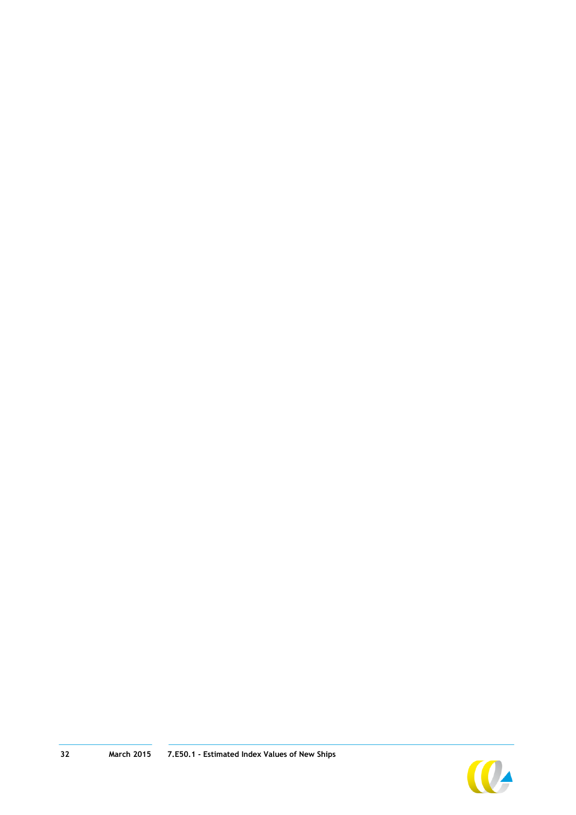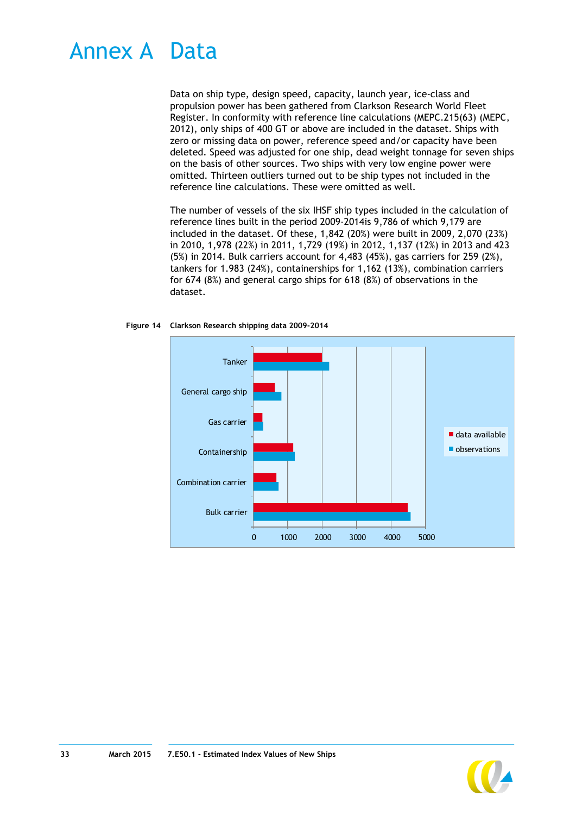## Annex A Data

Data on ship type, design speed, capacity, launch year, ice-class and propulsion power has been gathered from Clarkson Research World Fleet Register. In conformity with reference line calculations (MEPC.215(63) (MEPC, 2012), only ships of 400 GT or above are included in the dataset. Ships with zero or missing data on power, reference speed and/or capacity have been deleted. Speed was adjusted for one ship, dead weight tonnage for seven ships on the basis of other sources. Two ships with very low engine power were omitted. Thirteen outliers turned out to be ship types not included in the reference line calculations. These were omitted as well.

The number of vessels of the six IHSF ship types included in the calculation of reference lines built in the period 2009-2014is 9,786 of which 9,179 are included in the dataset. Of these, 1,842 (20%) were built in 2009, 2,070 (23%) in 2010, 1,978 (22%) in 2011, 1,729 (19%) in 2012, 1,137 (12%) in 2013 and 423 (5%) in 2014. Bulk carriers account for 4,483 (45%), gas carriers for 259 (2%), tankers for 1.983 (24%), containerships for 1,162 (13%), combination carriers for 674 (8%) and general cargo ships for 618 (8%) of observations in the dataset.

<span id="page-32-0"></span>



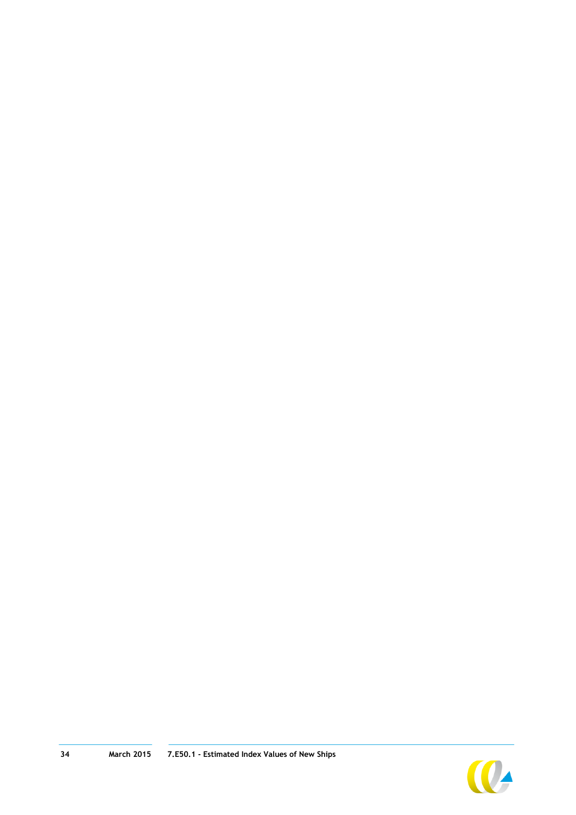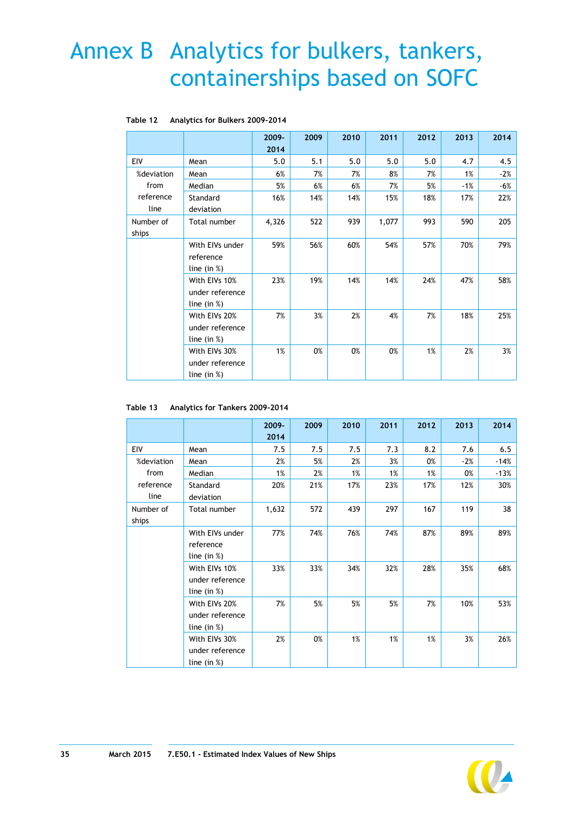## Annex B Analytics for bulkers, tankers, containerships based on SOFC

|  |  | Table 12 Analytics for Bulkers 2009-2014 |
|--|--|------------------------------------------|
|--|--|------------------------------------------|

|            |                 | 2009- | 2009 | 2010 | 2011  | 2012 | 2013  | 2014  |
|------------|-----------------|-------|------|------|-------|------|-------|-------|
|            |                 | 2014  |      |      |       |      |       |       |
| <b>EIV</b> | Mean            | 5.0   | 5.1  | 5.0  | 5.0   | 5.0  | 4.7   | 4.5   |
| %deviation | Mean            | 6%    | 7%   | 7%   | 8%    | 7%   | 1%    | $-2%$ |
| from       | Median          | 5%    | 6%   | 6%   | 7%    | 5%   | $-1%$ | $-6%$ |
| reference  | Standard        | 16%   | 14%  | 14%  | 15%   | 18%  | 17%   | 22%   |
| line       | deviation       |       |      |      |       |      |       |       |
| Number of  | Total number    | 4,326 | 522  | 939  | 1,077 | 993  | 590   | 205   |
| ships      |                 |       |      |      |       |      |       |       |
|            | With EIVs under | 59%   | 56%  | 60%  | 54%   | 57%  | 70%   | 79%   |
|            | reference       |       |      |      |       |      |       |       |
|            | line (in $\%$ ) |       |      |      |       |      |       |       |
|            | With EIVs 10%   | 23%   | 19%  | 14%  | 14%   | 24%  | 47%   | 58%   |
|            | under reference |       |      |      |       |      |       |       |
|            | line (in $\%$ ) |       |      |      |       |      |       |       |
|            | With EIVs 20%   | 7%    | 3%   | 2%   | 4%    | 7%   | 18%   | 25%   |
|            | under reference |       |      |      |       |      |       |       |
|            | line (in $\%$ ) |       |      |      |       |      |       |       |
|            | With EIVs 30%   | 1%    | 0%   | 0%   | 0%    | 1%   | 2%    | 3%    |
|            | under reference |       |      |      |       |      |       |       |
|            | line (in $\%$ ) |       |      |      |       |      |       |       |

|            |                 | $2009 -$<br>2014 | 2009 | 2010 | 2011 | 2012 | 2013  | 2014   |
|------------|-----------------|------------------|------|------|------|------|-------|--------|
| EIV        | Mean            | 7.5              | 7.5  | 7.5  | 7.3  | 8.2  | 7.6   | 6.5    |
| %deviation | Mean            | 2%               | 5%   | 2%   | 3%   | 0%   | $-2%$ | $-14%$ |
| from       | Median          | 1%               | 2%   | 1%   | 1%   | 1%   | 0%    | $-13%$ |
| reference  | Standard        | 20%              | 21%  | 17%  | 23%  | 17%  | 12%   | 30%    |
| line       | deviation       |                  |      |      |      |      |       |        |
| Number of  | Total number    | 1,632            | 572  | 439  | 297  | 167  | 119   | 38     |
| ships      |                 |                  |      |      |      |      |       |        |
|            | With EIVs under | 77%              | 74%  | 76%  | 74%  | 87%  | 89%   | 89%    |
|            | reference       |                  |      |      |      |      |       |        |
|            | line (in $\%$ ) |                  |      |      |      |      |       |        |
|            | With EIVs 10%   | 33%              | 33%  | 34%  | 32%  | 28%  | 35%   | 68%    |
|            | under reference |                  |      |      |      |      |       |        |
|            | line (in $%$ )  |                  |      |      |      |      |       |        |
|            | With EIVs 20%   | 7%               | 5%   | 5%   | 5%   | 7%   | 10%   | 53%    |
|            | under reference |                  |      |      |      |      |       |        |
|            | line (in $\%$ ) |                  |      |      |      |      |       |        |
|            | With EIVs 30%   | 2%               | 0%   | 1%   | 1%   | 1%   | 3%    | 26%    |
|            | under reference |                  |      |      |      |      |       |        |
|            | line (in $\%$ ) |                  |      |      |      |      |       |        |